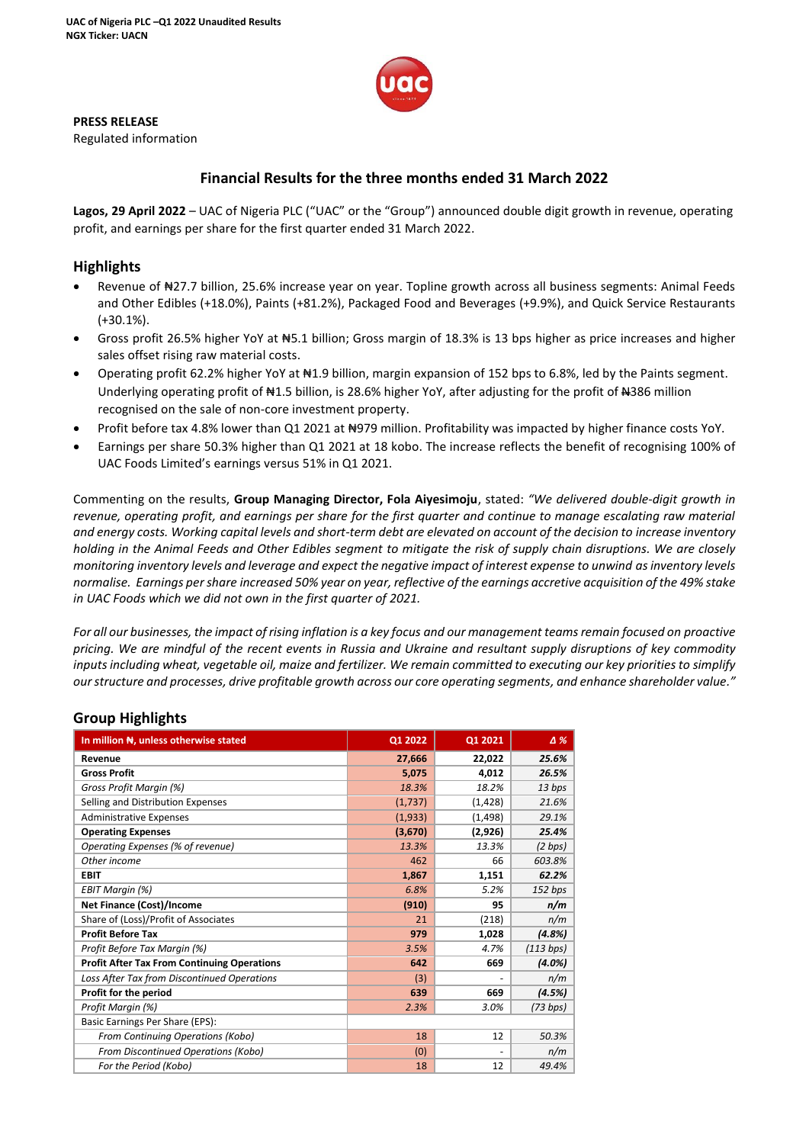

#### **PRESS RELEASE**

Regulated information

# **Financial Results for the three months ended 31 March 2022**

**Lagos, 29 April 2022** – UAC of Nigeria PLC ("UAC" or the "Group") announced double digit growth in revenue, operating profit, and earnings per share for the first quarter ended 31 March 2022.

## **Highlights**

- Revenue of ₦27.7 billion, 25.6% increase year on year. Topline growth across all business segments: Animal Feeds and Other Edibles (+18.0%), Paints (+81.2%), Packaged Food and Beverages (+9.9%), and Quick Service Restaurants (+30.1%).
- Gross profit 26.5% higher YoY at #5.1 billion; Gross margin of 18.3% is 13 bps higher as price increases and higher sales offset rising raw material costs.
- Operating profit 62.2% higher YoY at ₦1.9 billion, margin expansion of 152 bps to 6.8%, led by the Paints segment. Underlying operating profit of N<sub>1.5</sub> billion, is 28.6% higher YoY, after adjusting for the profit of N<sub>386</sub> million recognised on the sale of non-core investment property.
- Profit before tax 4.8% lower than Q1 2021 at N979 million. Profitability was impacted by higher finance costs YoY.
- Earnings per share 50.3% higher than Q1 2021 at 18 kobo. The increase reflects the benefit of recognising 100% of UAC Foods Limited's earnings versus 51% in Q1 2021.

Commenting on the results, **Group Managing Director, Fola Aiyesimoju**, stated: *"We delivered double-digit growth in revenue, operating profit, and earnings per share for the first quarter and continue to manage escalating raw material and energy costs. Working capital levels and short-term debt are elevated on account of the decision to increase inventory holding in the Animal Feeds and Other Edibles segment to mitigate the risk of supply chain disruptions. We are closely monitoring inventory levels and leverage and expect the negative impact of interest expense to unwind asinventory levels normalise. Earnings per share increased 50% year on year, reflective of the earnings accretive acquisition of the 49% stake in UAC Foods which we did not own in the first quarter of 2021.*

*For all our businesses, the impact of rising inflation is a key focus and our management teams remain focused on proactive pricing. We are mindful of the recent events in Russia and Ukraine and resultant supply disruptions of key commodity inputs including wheat, vegetable oil, maize and fertilizer. We remain committed to executing our key priorities to simplify our structure and processes, drive profitable growth across our core operating segments, and enhance shareholder value."*

## **Group Highlights**

| In million N, unless otherwise stated              | Q1 2022 | Q1 2021  | Δ%        |
|----------------------------------------------------|---------|----------|-----------|
| Revenue                                            | 27,666  | 22,022   | 25.6%     |
| <b>Gross Profit</b>                                | 5,075   | 4,012    | 26.5%     |
| Gross Profit Margin (%)                            | 18.3%   | 18.2%    | 13 bps    |
| Selling and Distribution Expenses                  | (1,737) | (1, 428) | 21.6%     |
| <b>Administrative Expenses</b>                     | (1,933) | (1, 498) | 29.1%     |
| <b>Operating Expenses</b>                          | (3,670) | (2,926)  | 25.4%     |
| Operating Expenses (% of revenue)                  | 13.3%   | 13.3%    | (2 bps)   |
| Other income                                       | 462     | 66       | 603.8%    |
| <b>EBIT</b>                                        | 1,867   | 1,151    | 62.2%     |
| EBIT Margin (%)                                    | 6.8%    | 5.2%     | 152 bps   |
| Net Finance (Cost)/Income                          | (910)   | 95       | n/m       |
| Share of (Loss)/Profit of Associates               | 21      | (218)    | n/m       |
| <b>Profit Before Tax</b>                           | 979     | 1,028    | (4.8%)    |
| Profit Before Tax Margin (%)                       | 3.5%    | 4.7%     | (113 bps) |
| <b>Profit After Tax From Continuing Operations</b> | 642     | 669      | (4.0%)    |
| Loss After Tax from Discontinued Operations        | (3)     |          | n/m       |
| Profit for the period                              | 639     | 669      | (4.5%)    |
| Profit Margin (%)                                  | 2.3%    | 3.0%     | (73 bps)  |
| Basic Earnings Per Share (EPS):                    |         |          |           |
| From Continuing Operations (Kobo)                  | 18      | 12       | 50.3%     |
| From Discontinued Operations (Kobo)                | (0)     |          | n/m       |
| For the Period (Kobo)                              | 18      | 12       | 49.4%     |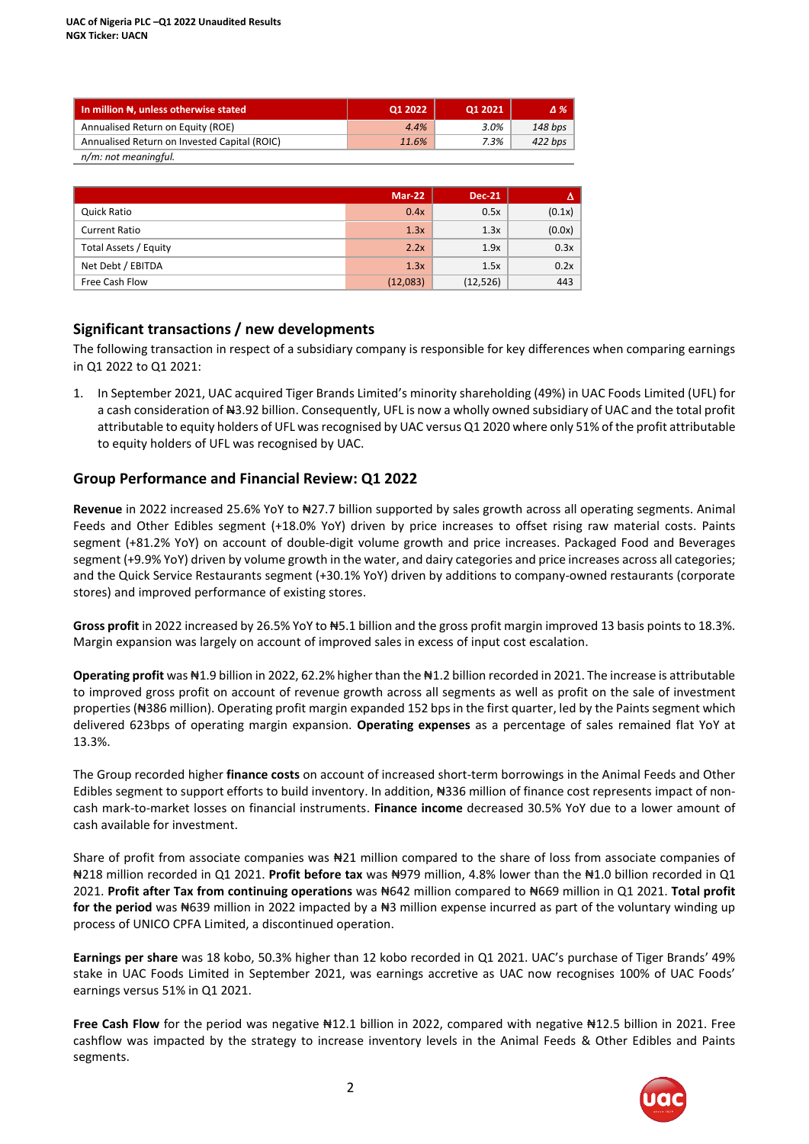| In million N, unless otherwise stated        | Q1 2022 | Q1 2021 | $\Delta\%$ |
|----------------------------------------------|---------|---------|------------|
| Annualised Return on Equity (ROE)            | 4.4%    | 3.0%    | 148 bps    |
| Annualised Return on Invested Capital (ROIC) | 11.6%   | 7.3%    | 422 bps    |
| n/m: not meaningful.                         |         |         |            |

|                       | <b>Mar-22</b> | <b>Dec-21</b> | Δ      |
|-----------------------|---------------|---------------|--------|
| Quick Ratio           | 0.4x          | 0.5x          | (0.1x) |
| <b>Current Ratio</b>  | 1.3x          | 1.3x          | (0.0x) |
| Total Assets / Equity | 2.2x          | 1.9x          | 0.3x   |
| Net Debt / EBITDA     | 1.3x          | 1.5x          | 0.2x   |
| Free Cash Flow        | (12,083)      | (12, 526)     | 443    |

### **Significant transactions / new developments**

The following transaction in respect of a subsidiary company is responsible for key differences when comparing earnings in Q1 2022 to Q1 2021:

1. In September 2021, UAC acquired Tiger Brands Limited's minority shareholding (49%) in UAC Foods Limited (UFL) for a cash consideration of  $\#3.92$  billion. Consequently, UFL is now a wholly owned subsidiary of UAC and the total profit attributable to equity holders of UFL was recognised by UAC versus Q1 2020 where only 51% of the profit attributable to equity holders of UFL was recognised by UAC.

### **Group Performance and Financial Review: Q1 2022**

**Revenue** in 2022 increased 25.6% YoY to ₦27.7 billion supported by sales growth across all operating segments. Animal Feeds and Other Edibles segment (+18.0% YoY) driven by price increases to offset rising raw material costs. Paints segment (+81.2% YoY) on account of double-digit volume growth and price increases. Packaged Food and Beverages segment (+9.9% YoY) driven by volume growth in the water, and dairy categories and price increases across all categories; and the Quick Service Restaurants segment (+30.1% YoY) driven by additions to company-owned restaurants (corporate stores) and improved performance of existing stores.

**Gross profit** in 2022 increased by 26.5% YoY to ₦5.1 billion and the gross profit margin improved 13 basis points to 18.3%. Margin expansion was largely on account of improved sales in excess of input cost escalation.

**Operating profit** was ₦1.9 billion in 2022, 62.2% higher than the ₦1.2 billion recorded in 2021. The increase is attributable to improved gross profit on account of revenue growth across all segments as well as profit on the sale of investment properties (₦386 million). Operating profit margin expanded 152 bps in the first quarter, led by the Paints segment which delivered 623bps of operating margin expansion. **Operating expenses** as a percentage of sales remained flat YoY at 13.3%.

The Group recorded higher **finance costs** on account of increased short-term borrowings in the Animal Feeds and Other Edibles segment to support efforts to build inventory. In addition, #336 million of finance cost represents impact of noncash mark-to-market losses on financial instruments. **Finance income** decreased 30.5% YoY due to a lower amount of cash available for investment.

Share of profit from associate companies was ₦21 million compared to the share of loss from associate companies of ₦218 million recorded in Q1 2021. **Profit before tax** was ₦979 million, 4.8% lower than the ₦1.0 billion recorded in Q1 2021. **Profit after Tax from continuing operations** was ₦642 million compared to ₦669 million in Q1 2021. **Total profit**  for the period was N639 million in 2022 impacted by a N<sub>3</sub> million expense incurred as part of the voluntary winding up process of UNICO CPFA Limited, a discontinued operation.

**Earnings per share** was 18 kobo, 50.3% higher than 12 kobo recorded in Q1 2021. UAC's purchase of Tiger Brands' 49% stake in UAC Foods Limited in September 2021, was earnings accretive as UAC now recognises 100% of UAC Foods' earnings versus 51% in Q1 2021.

**Free Cash Flow** for the period was negative ₦12.1 billion in 2022, compared with negative ₦12.5 billion in 2021. Free cashflow was impacted by the strategy to increase inventory levels in the Animal Feeds & Other Edibles and Paints segments.

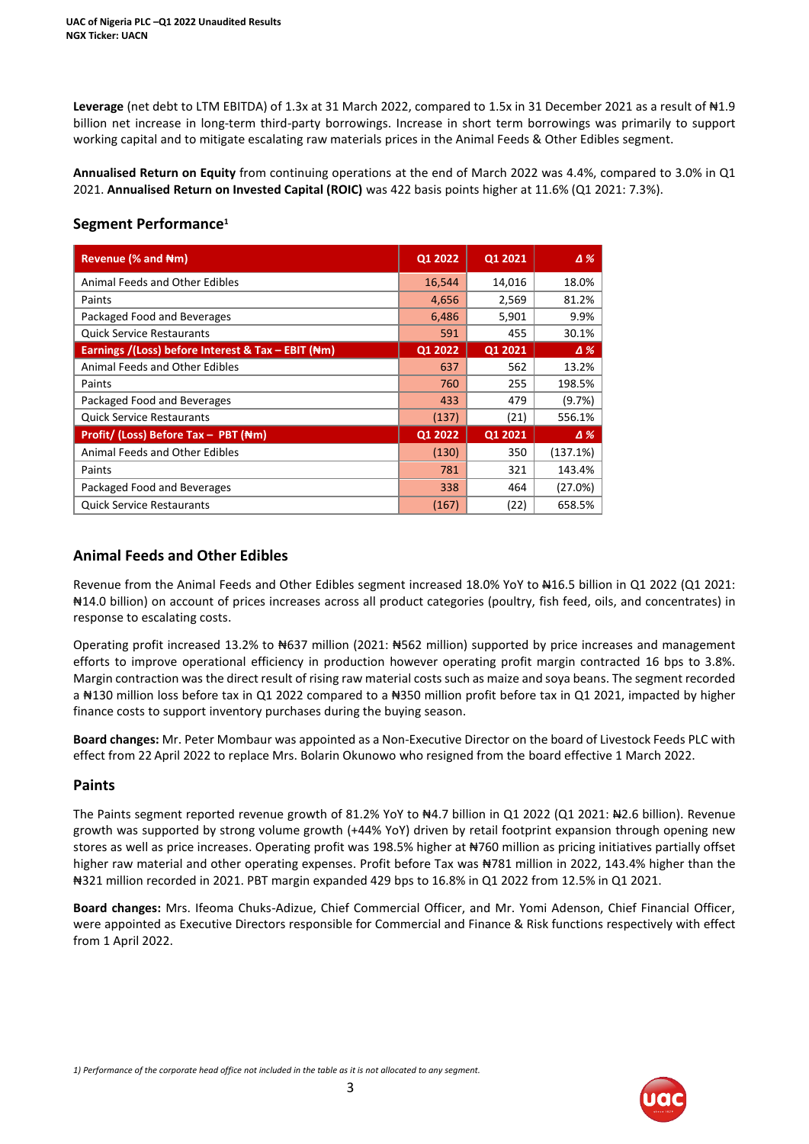**Leverage** (net debt to LTM EBITDA) of 1.3x at 31 March 2022, compared to 1.5x in 31 December 2021 as a result of ₦1.9 billion net increase in long-term third-party borrowings. Increase in short term borrowings was primarily to support working capital and to mitigate escalating raw materials prices in the Animal Feeds & Other Edibles segment.

**Annualised Return on Equity** from continuing operations at the end of March 2022 was 4.4%, compared to 3.0% in Q1 2021. **Annualised Return on Invested Capital (ROIC)** was 422 basis points higher at 11.6% (Q1 2021: 7.3%).

### **Segment Performance<sup>1</sup>**

| Revenue (% and Nm)                                            | Q1 2022 | Q1 2021 | $\Delta\%$ |
|---------------------------------------------------------------|---------|---------|------------|
| Animal Feeds and Other Edibles                                | 16,544  | 14,016  | 18.0%      |
| Paints                                                        | 4,656   | 2,569   | 81.2%      |
| Packaged Food and Beverages                                   | 6,486   | 5,901   | 9.9%       |
| <b>Quick Service Restaurants</b>                              | 591     | 455     | 30.1%      |
| Earnings /(Loss) before Interest & Tax – EBIT ( $\text{Hm}$ ) | Q1 2022 | Q1 2021 | $\Delta\%$ |
| Animal Feeds and Other Edibles                                | 637     | 562     | 13.2%      |
| Paints                                                        | 760     | 255     | 198.5%     |
| Packaged Food and Beverages                                   | 433     | 479     | (9.7%)     |
| <b>Quick Service Restaurants</b>                              | (137)   | (21)    | 556.1%     |
| Profit/ (Loss) Before Tax - PBT (Nm)                          | Q1 2022 | Q1 2021 | Δ%         |
| Animal Feeds and Other Edibles                                | (130)   | 350     | (137.1%)   |
| Paints                                                        | 781     | 321     | 143.4%     |
| Packaged Food and Beverages                                   | 338     | 464     | (27.0%)    |
| <b>Quick Service Restaurants</b>                              | (167)   | (22)    | 658.5%     |

## **Animal Feeds and Other Edibles**

Revenue from the Animal Feeds and Other Edibles segment increased 18.0% YoY to #16.5 billion in Q1 2022 (Q1 2021: ₦14.0 billion) on account of prices increases across all product categories (poultry, fish feed, oils, and concentrates) in response to escalating costs.

Operating profit increased 13.2% to ₦637 million (2021: ₦562 million) supported by price increases and management efforts to improve operational efficiency in production however operating profit margin contracted 16 bps to 3.8%. Margin contraction was the direct result of rising raw material costs such as maize and soya beans. The segment recorded a #130 million loss before tax in Q1 2022 compared to a #350 million profit before tax in Q1 2021, impacted by higher finance costs to support inventory purchases during the buying season.

**Board changes:** Mr. Peter Mombaur was appointed as a Non-Executive Director on the board of Livestock Feeds PLC with effect from 22 April 2022 to replace Mrs. Bolarin Okunowo who resigned from the board effective 1 March 2022.

### **Paints**

The Paints segment reported revenue growth of 81.2% YoY to #4.7 billion in Q1 2022 (Q1 2021: #2.6 billion). Revenue growth was supported by strong volume growth (+44% YoY) driven by retail footprint expansion through opening new stores as well as price increases. Operating profit was 198.5% higher at ₦760 million as pricing initiatives partially offset higher raw material and other operating expenses. Profit before Tax was N781 million in 2022, 143.4% higher than the ₦321 million recorded in 2021. PBT margin expanded 429 bps to 16.8% in Q1 2022 from 12.5% in Q1 2021.

**Board changes:** Mrs. Ifeoma Chuks-Adizue, Chief Commercial Officer, and Mr. Yomi Adenson, Chief Financial Officer, were appointed as Executive Directors responsible for Commercial and Finance & Risk functions respectively with effect from 1 April 2022.

3

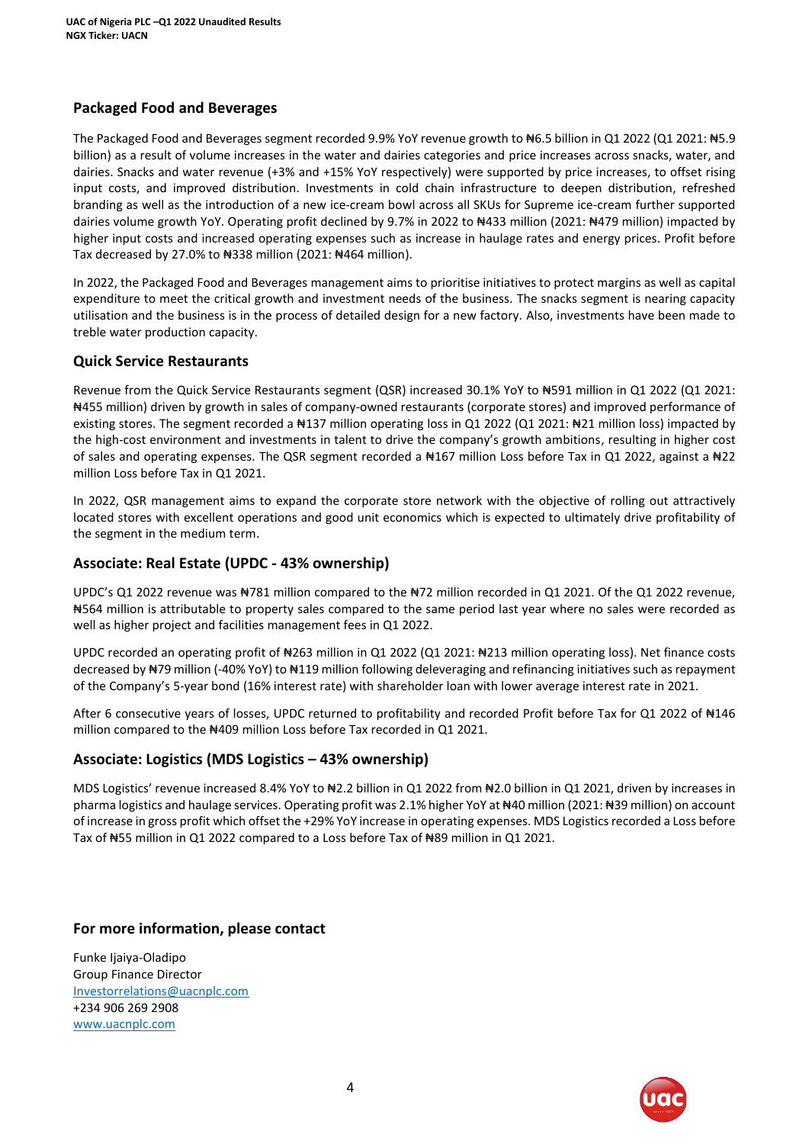# **Packaged Food and Beverages**

The Packaged Food and Beverages segment recorded 9.9% YoY revenue growth to #6.5 billion in Q1 2022 (Q1 2021: #5.9 billion) as a result of volume increases in the water and dairies categories and price increases across snacks, water, and dairies. Snacks and water revenue (+3% and +15% YoY respectively) were supported by price increases, to offset rising input costs, and improved distribution. Investments in cold chain infrastructure to deepen distribution, refreshed branding as well as the introduction of a new ice-cream bowl across all SKUs for Supreme ice-cream further supported dairies volume growth YoY. Operating profit declined by 9.7% in 2022 to N433 million (2021: N479 million) impacted by higher input costs and increased operating expenses such as increase in haulage rates and energy prices. Profit before Tax decreased by 27.0% to ₦338 million (2021: ₦464 million).

In 2022, the Packaged Food and Beverages management aims to prioritise initiatives to protect margins as well as capital expenditure to meet the critical growth and investment needs of the business. The snacks segment is nearing capacity utilisation and the business is in the process of detailed design for a new factory. Also, investments have been made to treble water production capacity.

### **Quick Service Restaurants**

Revenue from the Quick Service Restaurants segment (QSR) increased 30.1% YoY to #591 million in Q1 2022 (Q1 2021: ₦455 million) driven by growth in sales of company-owned restaurants (corporate stores) and improved performance of existing stores. The segment recorded a N137 million operating loss in Q1 2022 (Q1 2021: N21 million loss) impacted by the high-cost environment and investments in talent to drive the company's growth ambitions, resulting in higher cost of sales and operating expenses. The QSR segment recorded a ₦167 million Loss before Tax in Q1 2022, against a ₦22 million Loss before Tax in Q1 2021.

In 2022, QSR management aims to expand the corporate store network with the objective of rolling out attractively located stores with excellent operations and good unit economics which is expected to ultimately drive profitability of the segment in the medium term.

### **Associate: Real Estate (UPDC - 43% ownership)**

UPDC's Q1 2022 revenue was ₦781 million compared to the ₦72 million recorded in Q1 2021. Of the Q1 2022 revenue, ₦564 million is attributable to property sales compared to the same period last year where no sales were recorded as well as higher project and facilities management fees in Q1 2022.

UPDC recorded an operating profit of N263 million in Q1 2022 (Q1 2021: N213 million operating loss). Net finance costs decreased by ₦79 million (-40% YoY) to ₦119 million following deleveraging and refinancing initiatives such as repayment of the Company's 5-year bond (16% interest rate) with shareholder loan with lower average interest rate in 2021.

After 6 consecutive years of losses, UPDC returned to profitability and recorded Profit before Tax for Q1 2022 of #146 million compared to the N409 million Loss before Tax recorded in Q1 2021.

## **Associate: Logistics (MDS Logistics – 43% ownership)**

MDS Logistics' revenue increased 8.4% YoY to N2.2 billion in Q1 2022 from N2.0 billion in Q1 2021, driven by increases in pharma logistics and haulage services. Operating profit was 2.1% higher YoY at ₦40 million (2021: ₦39 million) on account of increase in gross profit which offset the +29% YoY increase in operating expenses. MDS Logistics recorded a Loss before Tax of N55 million in Q1 2022 compared to a Loss before Tax of N89 million in Q1 2021.

## **For more information, please contact**

Funke Ijaiya-Oladipo Group Finance Director [Investorrelations@uacnplc.com](mailto:Investorrelations@uacnplc.com) +234 906 269 2908 [www.uacnplc.com](http://www.uacnplc.com/)